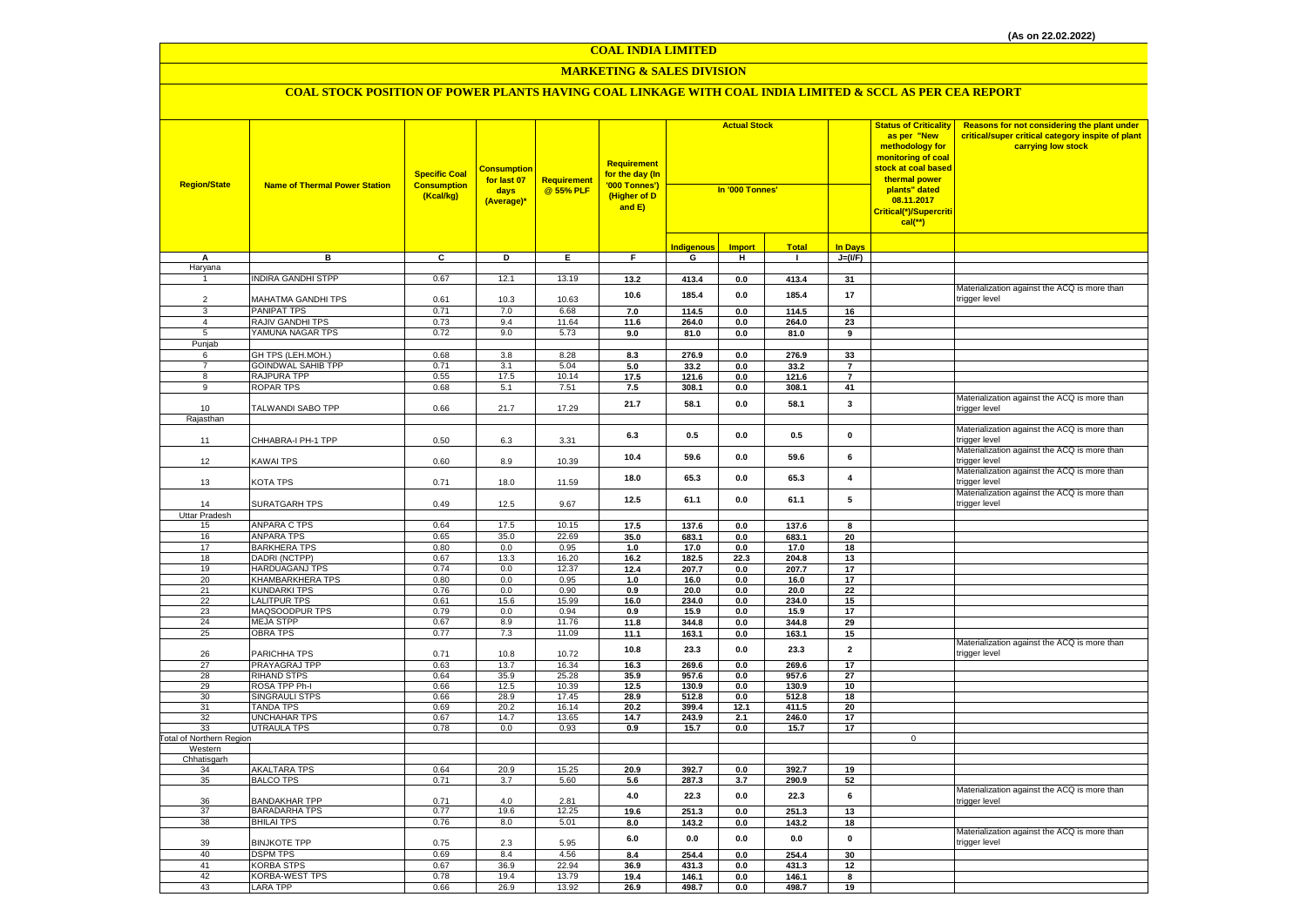#### **MARKETING & SALES DIVISION**

| <b>Region/State</b>             | <b>Name of Thermal Power Station</b>         | <b>Specific Coal</b><br><b>Consumption</b><br>(Kcal/kg) | <b>Consumption</b><br>for last 07<br>days<br>(Average)* | <b>Requirement</b><br>@ 55% PLF | <b>Requirement</b><br>for the day (In<br>'000 Tonnes')<br>(Higher of D<br>and E) | <b>Actual Stock</b><br>In '000 Tonnes' |                |               |                      | <b>Status of Criticality</b><br>as per "New<br>methodology for<br>monitoring of coal<br>stock at coal based<br>thermal power<br>plants" dated<br>08.11.2017<br>Critical(*)/Supercriti<br>$cal$ (**) | Reasons for not considering the plant under<br>critical/super critical category inspite of plant<br>carrying low stock |
|---------------------------------|----------------------------------------------|---------------------------------------------------------|---------------------------------------------------------|---------------------------------|----------------------------------------------------------------------------------|----------------------------------------|----------------|---------------|----------------------|-----------------------------------------------------------------------------------------------------------------------------------------------------------------------------------------------------|------------------------------------------------------------------------------------------------------------------------|
|                                 |                                              |                                                         |                                                         |                                 |                                                                                  | Indigenous                             | <b>Import</b>  | <b>Total</b>  | <b>In Days</b>       |                                                                                                                                                                                                     |                                                                                                                        |
| Α                               | в                                            | C                                                       | D                                                       | Ε.                              | F.                                                                               | G                                      | н              | $\mathbf{I}$  | $J=(VF)$             |                                                                                                                                                                                                     |                                                                                                                        |
| Haryana                         |                                              |                                                         |                                                         |                                 |                                                                                  |                                        |                |               |                      |                                                                                                                                                                                                     |                                                                                                                        |
| $\overline{1}$                  | <b>INDIRA GANDHI STPP</b>                    | 0.67                                                    | 12.1                                                    | 13.19                           | 13.2                                                                             | 413.4                                  | 0.0            | 413.4         | 31                   |                                                                                                                                                                                                     |                                                                                                                        |
|                                 |                                              |                                                         |                                                         |                                 | 10.6                                                                             | 185.4                                  | 0.0            | 185.4         | 17                   |                                                                                                                                                                                                     | Materialization against the ACQ is more than                                                                           |
| 2                               | MAHATMA GANDHI TPS                           | 0.61                                                    | 10.3                                                    | 10.63                           |                                                                                  |                                        |                |               |                      |                                                                                                                                                                                                     | trigger level                                                                                                          |
| 3                               | <b>PANIPAT TPS</b><br>RAJIV GANDHI TPS       | 0.71<br>0.73                                            | 7.0<br>9.4                                              | 6.68<br>11.64                   | 7.0                                                                              | 114.5                                  | 0.0            | 114.5         | 16                   |                                                                                                                                                                                                     |                                                                                                                        |
| 4<br>5                          | YAMUNA NAGAR TPS                             | 0.72                                                    | 9.0                                                     | 5.73                            | 11.6                                                                             | 264.0<br>81.0                          | 0.0<br>0.0     | 264.0         | 23<br>$\overline{9}$ |                                                                                                                                                                                                     |                                                                                                                        |
| Punjab                          |                                              |                                                         |                                                         |                                 | 9.0                                                                              |                                        |                | 81.0          |                      |                                                                                                                                                                                                     |                                                                                                                        |
| 6                               | GH TPS (LEH.MOH.)                            | 0.68                                                    | 3.8                                                     | 8.28                            | 8.3                                                                              | 276.9                                  | 0.0            | 276.9         | 33                   |                                                                                                                                                                                                     |                                                                                                                        |
| $\overline{7}$                  | <b>GOINDWAL SAHIB TPP</b>                    | 0.71                                                    | 3.1                                                     | 5.04                            | $5.0\,$                                                                          | 33.2                                   | 0.0            | 33.2          | $\overline{7}$       |                                                                                                                                                                                                     |                                                                                                                        |
| 8                               | RAJPURA TPP                                  | 0.55                                                    | 17.5                                                    | 10.14                           | 17.5                                                                             | 121.6                                  | 0.0            | 121.6         | $\overline{7}$       |                                                                                                                                                                                                     |                                                                                                                        |
| 9                               | <b>ROPAR TPS</b>                             | 0.68                                                    | 5.1                                                     | 7.51                            | 7.5                                                                              | 308.1                                  | 0.0            | 308.1         | 41                   |                                                                                                                                                                                                     |                                                                                                                        |
| 10                              | TALWANDI SABO TPP                            | 0.66                                                    | 21.7                                                    | 17.29                           | 21.7                                                                             | 58.1                                   | 0.0            | 58.1          | $\mathbf{3}$         |                                                                                                                                                                                                     | Materialization against the ACQ is more than<br>trigger level                                                          |
| Rajasthan                       |                                              |                                                         |                                                         |                                 |                                                                                  |                                        |                |               |                      |                                                                                                                                                                                                     |                                                                                                                        |
| 11                              | CHHABRA-I PH-1 TPP                           | 0.50                                                    | 6.3                                                     | 3.31                            | 6.3                                                                              | 0.5                                    | 0.0            | 0.5           | $\pmb{0}$            |                                                                                                                                                                                                     | Materialization against the ACQ is more than<br>rigger level                                                           |
| 12                              | <b>KAWAI TPS</b>                             | 0.60                                                    | 8.9                                                     | 10.39                           | 10.4                                                                             | 59.6                                   | $0.0\,$        | 59.6          | 6                    |                                                                                                                                                                                                     | Materialization against the ACQ is more than<br>trigger level                                                          |
| 13                              | KOTA TPS                                     | 0.71                                                    | 18.0                                                    | 11.59                           | 18.0                                                                             | 65.3                                   | 0.0            | 65.3          | $\pmb{4}$            |                                                                                                                                                                                                     | Materialization against the ACQ is more than<br>trigger level                                                          |
| 14                              | SURATGARH TPS                                | 0.49                                                    | 12.5                                                    | 9.67                            | 12.5                                                                             | 61.1                                   | 0.0            | 61.1          | 5                    |                                                                                                                                                                                                     | Materialization against the ACQ is more than<br>trigger level                                                          |
| Uttar Pradesh                   |                                              |                                                         |                                                         |                                 |                                                                                  |                                        |                |               |                      |                                                                                                                                                                                                     |                                                                                                                        |
| 15                              | <b>ANPARA C TPS</b>                          | 0.64                                                    | 17.5                                                    | 10.15                           | 17.5                                                                             | 137.6                                  | 0.0            | 137.6         | 8                    |                                                                                                                                                                                                     |                                                                                                                        |
| 16                              | <b>ANPARA TPS</b>                            | 0.65                                                    | 35.0                                                    | 22.69                           | 35.0                                                                             | 683.1                                  | 0.0            | 683.1         | 20                   |                                                                                                                                                                                                     |                                                                                                                        |
| 17<br>18                        | <b>BARKHERA TPS</b><br>DADRI (NCTPP)         | 0.80<br>0.67                                            | 0.0<br>13.3                                             | 0.95<br>16.20                   | 1.0<br>16.2                                                                      | 17.0<br>182.5                          | 0.0<br>22.3    | 17.0<br>204.8 | 18<br>13             |                                                                                                                                                                                                     |                                                                                                                        |
| 19                              | HARDUAGANJ TPS                               | 0.74                                                    | 0.0                                                     | 12.37                           | 12.4                                                                             | 207.7                                  | 0.0            | 207.7         | 17                   |                                                                                                                                                                                                     |                                                                                                                        |
| 20                              | KHAMBARKHERA TPS                             | 0.80                                                    | 0.0                                                     | 0.95                            | 1.0                                                                              | 16.0                                   | $\mathbf{0.0}$ | 16.0          | 17                   |                                                                                                                                                                                                     |                                                                                                                        |
| 21                              | <b>KUNDARKI TPS</b>                          | 0.76                                                    | 0.0                                                     | 0.90                            | 0.9                                                                              | 20.0                                   | $\mathbf{0.0}$ | 20.0          | 22                   |                                                                                                                                                                                                     |                                                                                                                        |
| 22                              | <b>LALITPUR TPS</b>                          | 0.61                                                    | 15.6                                                    | 15.99                           | 16.0                                                                             | 234.0                                  | 0.0            | 234.0         | 15                   |                                                                                                                                                                                                     |                                                                                                                        |
| 23                              | MAQSOODPUR TPS                               | 0.79                                                    | 0.0                                                     | 0.94                            | 0.9                                                                              | 15.9                                   | $\mathbf{0.0}$ | 15.9          | 17                   |                                                                                                                                                                                                     |                                                                                                                        |
| 24                              | <b>MEJA STPP</b>                             | 0.67                                                    | 8.9                                                     | 11.76                           | 11.8                                                                             | 344.8                                  | 0.0            | 344.8         | 29                   |                                                                                                                                                                                                     |                                                                                                                        |
| 25                              | <b>OBRA TPS</b>                              | 0.77                                                    | 7.3                                                     | 11.09                           | 11.1                                                                             | 163.1                                  | 0.0            | 163.1         | 15                   |                                                                                                                                                                                                     |                                                                                                                        |
| 26                              | PARICHHA TPS                                 | 0.71                                                    | 10.8                                                    | 10.72                           | 10.8                                                                             | 23.3                                   | 0.0            | 23.3          | $\overline{2}$       |                                                                                                                                                                                                     | Materialization against the ACQ is more than<br>trigger level                                                          |
| 27                              | PRAYAGRAJ TPP                                | 0.63                                                    | 13.7                                                    | 16.34                           | 16.3                                                                             | 269.6                                  | 0.0            | 269.6         | 17                   |                                                                                                                                                                                                     |                                                                                                                        |
| 28                              | <b>RIHAND STPS</b>                           | 0.64                                                    | 35.9                                                    | 25.28                           | 35.9                                                                             | 957.6                                  | 0.0            | 957.6         | 27                   |                                                                                                                                                                                                     |                                                                                                                        |
| 29                              | ROSA TPP Ph-I                                | 0.66                                                    | 12.5                                                    | 10.39                           | 12.5                                                                             | 130.9                                  | 0.0            | 130.9         | 10                   |                                                                                                                                                                                                     |                                                                                                                        |
| 30                              | <b>SINGRAULI STPS</b>                        | 0.66                                                    | 28.9                                                    | 17.45                           | 28.9                                                                             | 512.8                                  | 0.0            | 512.8         | 18                   |                                                                                                                                                                                                     |                                                                                                                        |
| 31<br>32                        | <b>TANDA TPS</b>                             | 0.69                                                    | 20.2                                                    | 16.14                           | 20.2                                                                             | 399.4                                  | 12.1           | 411.5         | 20<br>17             |                                                                                                                                                                                                     |                                                                                                                        |
| 33                              | <b>UNCHAHAR TPS</b><br><b>UTRAULA TPS</b>    | 0.67<br>0.78                                            | 14.7<br>0.0                                             | 13.65<br>0.93                   | 14.7<br>0.9                                                                      | 243.9<br>15.7                          | 2.1<br>0.0     | 246.0<br>15.7 | 17                   |                                                                                                                                                                                                     |                                                                                                                        |
| <b>Fotal of Northern Region</b> |                                              |                                                         |                                                         |                                 |                                                                                  |                                        |                |               |                      | $\mathsf 0$                                                                                                                                                                                         |                                                                                                                        |
| Western                         |                                              |                                                         |                                                         |                                 |                                                                                  |                                        |                |               |                      |                                                                                                                                                                                                     |                                                                                                                        |
| Chhatisgarh                     |                                              |                                                         |                                                         |                                 |                                                                                  |                                        |                |               |                      |                                                                                                                                                                                                     |                                                                                                                        |
| 34                              | AKALTARA TPS                                 | 0.64                                                    | 20.9                                                    | 15.25                           | 20.9                                                                             | 392.7                                  | 0.0            | 392.7         | 19                   |                                                                                                                                                                                                     |                                                                                                                        |
| 35                              | <b>BALCO TPS</b>                             | 0.71                                                    | 3.7                                                     | 5.60                            | 5.6<br>4.0                                                                       | 287.3<br>22.3                          | 3.7<br>0.0     | 290.9<br>22.3 | 52<br>6              |                                                                                                                                                                                                     | Materialization against the ACQ is more than                                                                           |
| 36<br>37                        | <b>BANDAKHAR TPP</b><br><b>BARADARHA TPS</b> | 0.71<br>0.77                                            | 4.0<br>19.6                                             | 2.81<br>12.25                   | 19.6                                                                             | 251.3                                  | 0.0            | 251.3         | 13                   |                                                                                                                                                                                                     | trigger level                                                                                                          |
| 38                              | <b>BHILAI TPS</b>                            | 0.76                                                    | 8.0                                                     | 5.01                            | 8.0                                                                              | 143.2                                  | 0.0            | 143.2         | 18                   |                                                                                                                                                                                                     |                                                                                                                        |
| 39                              | <b>BINJKOTE TPP</b>                          | 0.75                                                    | 2.3                                                     | 5.95                            | 6.0                                                                              | $0.0\,$                                | 0.0            | 0.0           | $\pmb{0}$            |                                                                                                                                                                                                     | Materialization against the ACQ is more than<br>trigger level                                                          |
| 40                              | <b>DSPM TPS</b>                              | 0.69                                                    | 8.4                                                     | 4.56                            | 8.4                                                                              | 254.4                                  | 0.0            | 254.4         | 30                   |                                                                                                                                                                                                     |                                                                                                                        |
| 41                              | <b>KORBA STPS</b>                            | 0.67                                                    | 36.9                                                    | 22.94                           | 36.9                                                                             | 431.3                                  | $\mathbf{0.0}$ | 431.3         | 12                   |                                                                                                                                                                                                     |                                                                                                                        |
| 42                              | <b>KORBA-WEST TPS</b>                        | 0.78                                                    | 19.4                                                    | 13.79                           | 19.4                                                                             | 146.1                                  | 0.0            | 146.1         | 8                    |                                                                                                                                                                                                     |                                                                                                                        |
| 43                              | <b>LARA TPP</b>                              | 0.66                                                    | 26.9                                                    | 13.92                           | 26.9                                                                             | 498.7                                  | 0.0            | 498.7         | 19                   |                                                                                                                                                                                                     |                                                                                                                        |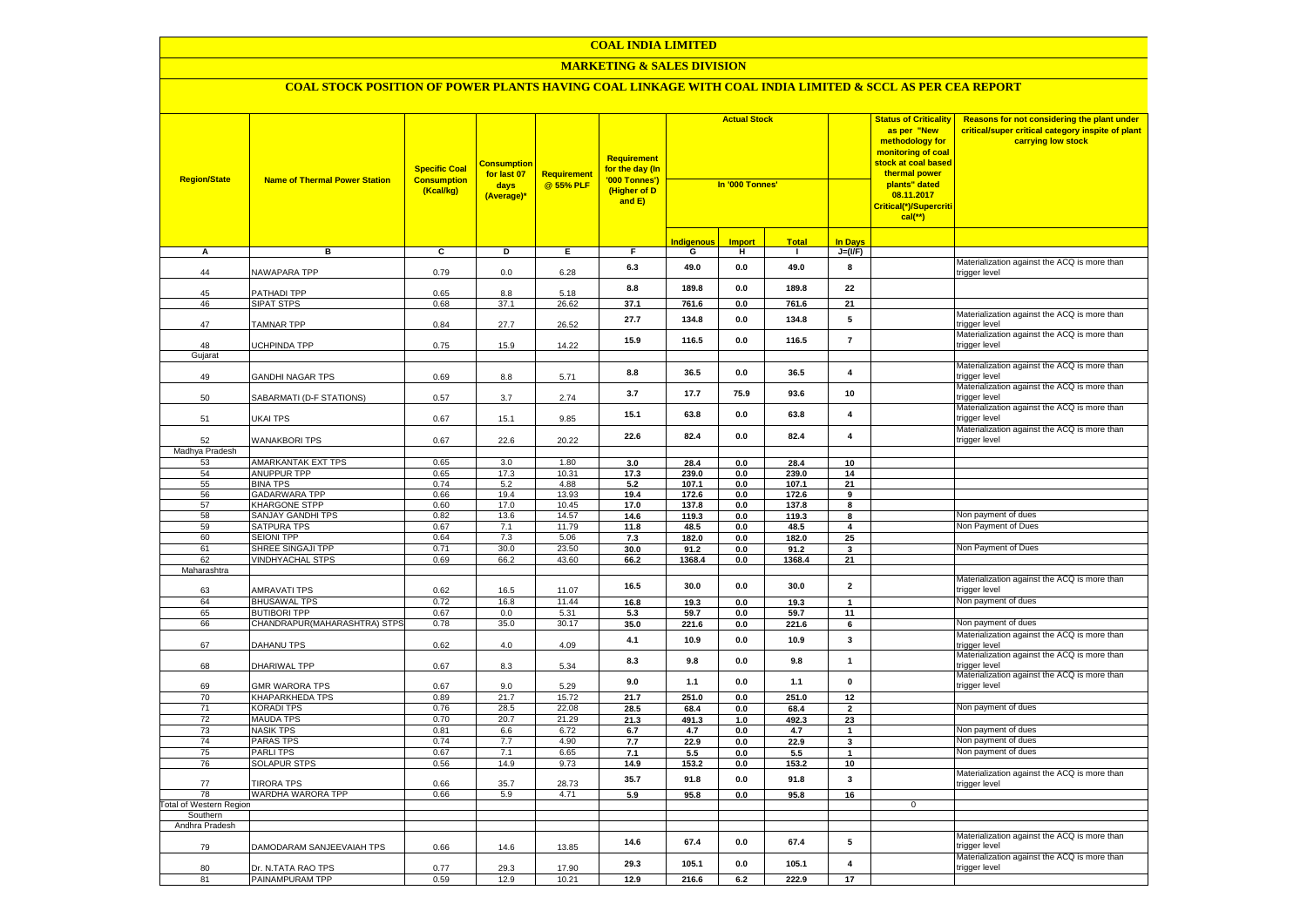## **MARKETING & SALES DIVISION**

| <b>Region/State</b>     | <b>Name of Thermal Power Station</b> | <b>Specific Coal</b><br><b>Consumption</b><br>(Kcal/kg) | <b>Consumption</b><br>for last 07<br>days<br>(Average)* | <b>Requirement</b><br>@ 55% PLF | <b>Requirement</b><br>for the day (In<br>'000 Tonnes')<br>(Higher of D<br>and E) | <b>Actual Stock</b><br>In '000 Tonnes' |               |               | <b>Status of Criticality</b><br>as per "New<br>methodology for<br><mark>monitoring of coal</mark><br><mark>stock at coal based</mark><br>thermal power<br>plants" dated<br>08.11.2017<br>Critical(*)/Supercriti<br>$cal$ (**) |             | Reasons for not considering the plant under<br>critical/super critical category inspite of plant<br>carrying low stock |
|-------------------------|--------------------------------------|---------------------------------------------------------|---------------------------------------------------------|---------------------------------|----------------------------------------------------------------------------------|----------------------------------------|---------------|---------------|-------------------------------------------------------------------------------------------------------------------------------------------------------------------------------------------------------------------------------|-------------|------------------------------------------------------------------------------------------------------------------------|
|                         |                                      |                                                         |                                                         |                                 |                                                                                  | <b>Indigenous</b>                      | <b>Import</b> | <b>Total</b>  | <b>In Davs</b>                                                                                                                                                                                                                |             |                                                                                                                        |
| А                       | в                                    | c                                                       | Þ                                                       | E                               | F                                                                                | G                                      | н             | п.            | $J=(VF)$                                                                                                                                                                                                                      |             |                                                                                                                        |
| 44                      | NAWAPARA TPP                         | 0.79                                                    | 0.0                                                     | 6.28                            | 6.3                                                                              | 49.0                                   | 0.0           | 49.0          | 8                                                                                                                                                                                                                             |             | Materialization against the ACQ is more than<br>trigger level                                                          |
| 45                      | PATHADI TPP                          | 0.65                                                    | 8.8                                                     | 5.18                            | 8.8                                                                              | 189.8                                  | 0.0           | 189.8         | 22                                                                                                                                                                                                                            |             |                                                                                                                        |
| 46                      | <b>SIPAT STPS</b>                    | 0.68                                                    | 37.1                                                    | 26.62                           | 37.1                                                                             | 761.6                                  | 0.0           | 761.6         | 21                                                                                                                                                                                                                            |             |                                                                                                                        |
| 47                      | <b>TAMNAR TPP</b>                    | 0.84                                                    | 27.7                                                    | 26.52                           | 27.7                                                                             | 134.8                                  | $0.0\,$       | 134.8         | ${\bf 5}$                                                                                                                                                                                                                     |             | Materialization against the ACQ is more than<br>trigger level                                                          |
| 48                      | UCHPINDA TPP                         | 0.75                                                    | 15.9                                                    | 14.22                           | 15.9                                                                             | 116.5                                  | 0.0           | 116.5         | $\overline{7}$                                                                                                                                                                                                                |             | Materialization against the ACQ is more than<br>trigger level                                                          |
| Gujarat                 |                                      |                                                         |                                                         |                                 |                                                                                  |                                        |               |               |                                                                                                                                                                                                                               |             |                                                                                                                        |
| 49                      | <b>GANDHI NAGAR TPS</b>              | 0.69                                                    | 8.8                                                     | 5.71                            | 8.8                                                                              | 36.5                                   | $0.0\,$       | 36.5          | $\overline{\mathbf{4}}$                                                                                                                                                                                                       |             | Materialization against the ACQ is more than<br>trigger level                                                          |
| 50                      | SABARMATI (D-F STATIONS)             | 0.57                                                    | 3.7                                                     | 2.74                            | 3.7                                                                              | 17.7                                   | 75.9          | 93.6          | 10                                                                                                                                                                                                                            |             | Materialization against the ACQ is more than<br>trigger level                                                          |
| 51                      | UKAI TPS                             | 0.67                                                    | 15.1                                                    | 9.85                            | 15.1                                                                             | 63.8                                   | 0.0           | 63.8          | 4                                                                                                                                                                                                                             |             | Materialization against the ACQ is more than<br>trigger level                                                          |
| 52                      | <b>WANAKBORI TPS</b>                 | 0.67                                                    | 22.6                                                    | 20.22                           | 22.6                                                                             | 82.4                                   | 0.0           | 82.4          | $\overline{\mathbf{4}}$                                                                                                                                                                                                       |             | Materialization against the ACQ is more than<br>trigger level                                                          |
| Madhya Pradesh          |                                      |                                                         |                                                         |                                 |                                                                                  |                                        |               |               |                                                                                                                                                                                                                               |             |                                                                                                                        |
| 53                      | <b>AMARKANTAK EXT TPS</b>            | 0.65                                                    | 3.0                                                     | 1.80                            | 3.0                                                                              | 28.4                                   | 0.0           | 28.4          | 10                                                                                                                                                                                                                            |             |                                                                                                                        |
| 54                      | ANUPPUR TPP                          | 0.65                                                    | 17.3                                                    | 10.31                           | 17.3                                                                             | 239.0                                  | 0.0           | 239.0         | 14                                                                                                                                                                                                                            |             |                                                                                                                        |
| 55                      | <b>BINA TPS</b>                      | 0.74                                                    | 5.2                                                     | 4.88                            | $5.2$                                                                            | 107.1                                  | 0.0           | 107.1         | 21                                                                                                                                                                                                                            |             |                                                                                                                        |
| 56                      | <b>GADARWARA TPP</b>                 | 0.66                                                    | 19.4                                                    | 13.93                           | 19.4                                                                             | 172.6                                  | 0.0           | 172.6         | 9                                                                                                                                                                                                                             |             |                                                                                                                        |
| 57                      | KHARGONE STPP                        | 0.60                                                    | 17.0                                                    | 10.45                           | 17.0                                                                             | 137.8                                  | 0.0           | 137.8         | 8                                                                                                                                                                                                                             |             |                                                                                                                        |
| 58<br>59                | <b>SANJAY GANDHI TPS</b>             | 0.82<br>0.67                                            | 13.6                                                    | 14.57                           | 14.6                                                                             | 119.3                                  | 0.0           | 119.3         | 8                                                                                                                                                                                                                             |             | Non payment of dues<br>Non Payment of Dues                                                                             |
| 60                      | SATPURA TPS<br><b>SEIONI TPP</b>     | 0.64                                                    | 7.1<br>7.3                                              | 11.79<br>5.06                   | 11.8                                                                             | 48.5                                   | 0.0           | 48.5          | $\overline{\mathbf{4}}$                                                                                                                                                                                                       |             |                                                                                                                        |
| 61                      | SHREE SINGAJI TPP                    | 0.71                                                    | 30.0                                                    | 23.50                           | 7.3<br>30.0                                                                      | 182.0<br>91.2                          | 0.0<br>0.0    | 182.0<br>91.2 | 25<br>3                                                                                                                                                                                                                       |             | Non Payment of Dues                                                                                                    |
| 62                      | <b>VINDHYACHAL STPS</b>              | 0.69                                                    | 66.2                                                    | 43.60                           | 66.2                                                                             | 1368.4                                 | $0.0\,$       | 1368.4        | 21                                                                                                                                                                                                                            |             |                                                                                                                        |
| Maharashtra             |                                      |                                                         |                                                         |                                 |                                                                                  |                                        |               |               |                                                                                                                                                                                                                               |             |                                                                                                                        |
| 63                      | <b>AMRAVATI TPS</b>                  | 0.62                                                    | 16.5                                                    | 11.07                           | 16.5                                                                             | 30.0                                   | 0.0           | 30.0          | $\overline{\mathbf{2}}$                                                                                                                                                                                                       |             | Materialization against the ACQ is more than<br>trigger level                                                          |
| 64                      | <b>BHUSAWAL TPS</b>                  | 0.72                                                    | 16.8                                                    | 11.44                           | 16.8                                                                             | 19.3                                   | 0.0           | 19.3          | $\mathbf{1}$                                                                                                                                                                                                                  |             | Non payment of dues                                                                                                    |
| 65                      | <b>BUTIBORI TPP</b>                  | 0.67                                                    | 0.0                                                     | 5.31                            | 5.3                                                                              | 59.7                                   | 0.0           | 59.7          | 11                                                                                                                                                                                                                            |             |                                                                                                                        |
| 66                      | CHANDRAPUR(MAHARASHTRA) STPS         | 0.78                                                    | 35.0                                                    | 30.17                           | 35.0                                                                             | 221.6                                  | 0.0           | 221.6         | 6                                                                                                                                                                                                                             |             | Non payment of dues                                                                                                    |
| 67                      | DAHANU TPS                           | 0.62                                                    | 4.0                                                     | 4.09                            | 4.1                                                                              | 10.9                                   | 0.0           | 10.9          | $\mathbf{3}$                                                                                                                                                                                                                  |             | Materialization against the ACQ is more than<br>trigger level                                                          |
| 68                      | DHARIWAL TPP                         | 0.67                                                    | 8.3                                                     | 5.34                            | 8.3                                                                              | 9.8                                    | 0.0           | 9.8           | $\mathbf{1}$                                                                                                                                                                                                                  |             | Materialization against the ACQ is more than<br>trigger level                                                          |
| 69                      | <b>GMR WARORA TPS</b>                | 0.67                                                    | 9.0                                                     | 5.29                            | 9.0                                                                              | 1.1                                    | 0.0           | 1.1           | $\pmb{0}$                                                                                                                                                                                                                     |             | Materialization against the ACQ is more than<br>trigger level                                                          |
| 70                      | KHAPARKHEDA TPS                      | 0.89                                                    | 21.7                                                    | 15.72                           | 21.7                                                                             | 251.0                                  | 0.0           | 251.0         | 12                                                                                                                                                                                                                            |             |                                                                                                                        |
| 71                      | <b>KORADI TPS</b>                    | 0.76                                                    | 28.5                                                    | 22.08                           | 28.5                                                                             | 68.4                                   | 0.0           | 68.4          | $\overline{\mathbf{2}}$                                                                                                                                                                                                       |             | Non payment of dues                                                                                                    |
| 72                      | <b>MAUDA TPS</b>                     | 0.70                                                    | 20.7                                                    | 21.29                           | 21.3                                                                             | 491.3                                  | 1.0           | 492.3         | 23                                                                                                                                                                                                                            |             | Non payment of dues                                                                                                    |
| 73<br>74                | <b>NASIK TPS</b><br><b>PARAS TPS</b> | 0.81<br>0.74                                            | 6.6<br>7.7                                              | 6.72<br>4.90                    | 6.7                                                                              | 4.7                                    | $0.0\,$       | 4.7           | $\mathbf{1}$                                                                                                                                                                                                                  |             | Non payment of dues                                                                                                    |
| 75                      | <b>PARLITPS</b>                      | 0.67                                                    | 7.1                                                     | 6.65                            | 7.7<br>7.1                                                                       | 22.9<br>5.5                            | 0.0<br>0.0    | 22.9<br>5.5   | $\mathbf{3}$<br>$\mathbf{1}$                                                                                                                                                                                                  |             | Non payment of dues                                                                                                    |
| 76                      | <b>SOLAPUR STPS</b>                  | 0.56                                                    | 14.9                                                    | 9.73                            | 14.9                                                                             | 153.2                                  | 0.0           | 153.2         | 10                                                                                                                                                                                                                            |             |                                                                                                                        |
| 77                      | <b>TIRORA TPS</b>                    | 0.66                                                    | 35.7                                                    | 28.73                           | 35.7                                                                             | 91.8                                   | 0.0           | 91.8          | 3                                                                                                                                                                                                                             |             | Materialization against the ACQ is more than<br>trigger level                                                          |
| 78                      | WARDHA WARORA TPP                    | 0.66                                                    | 5.9                                                     | 4.71                            | 5.9                                                                              | 95.8                                   | 0.0           | 95.8          | 16                                                                                                                                                                                                                            |             |                                                                                                                        |
| Total of Western Region |                                      |                                                         |                                                         |                                 |                                                                                  |                                        |               |               |                                                                                                                                                                                                                               | $\mathbf 0$ |                                                                                                                        |
| Southern                |                                      |                                                         |                                                         |                                 |                                                                                  |                                        |               |               |                                                                                                                                                                                                                               |             |                                                                                                                        |
| Andhra Pradesh          |                                      |                                                         |                                                         |                                 |                                                                                  |                                        |               |               |                                                                                                                                                                                                                               |             |                                                                                                                        |
| 79                      | DAMODARAM SANJEEVAIAH TPS            | 0.66                                                    | 14.6                                                    | 13.85                           | 14.6                                                                             | 67.4                                   | $0.0\,$       | 67.4          | ${\bf 5}$                                                                                                                                                                                                                     |             | Materialization against the ACQ is more than<br>rigger level                                                           |
| 80                      | Dr. N.TATA RAO TPS                   | 0.77                                                    | 29.3                                                    | 17.90                           | 29.3                                                                             | 105.1                                  | 0.0           | 105.1         | $\overline{\mathbf{4}}$                                                                                                                                                                                                       |             | Materialization against the ACQ is more than<br>trigger level                                                          |
| 81                      | PAINAMPURAM TPP                      | 0.59                                                    | 12.9                                                    | 10.21                           | 12.9                                                                             | 216.6                                  | 6.2           | 222.9         | 17                                                                                                                                                                                                                            |             |                                                                                                                        |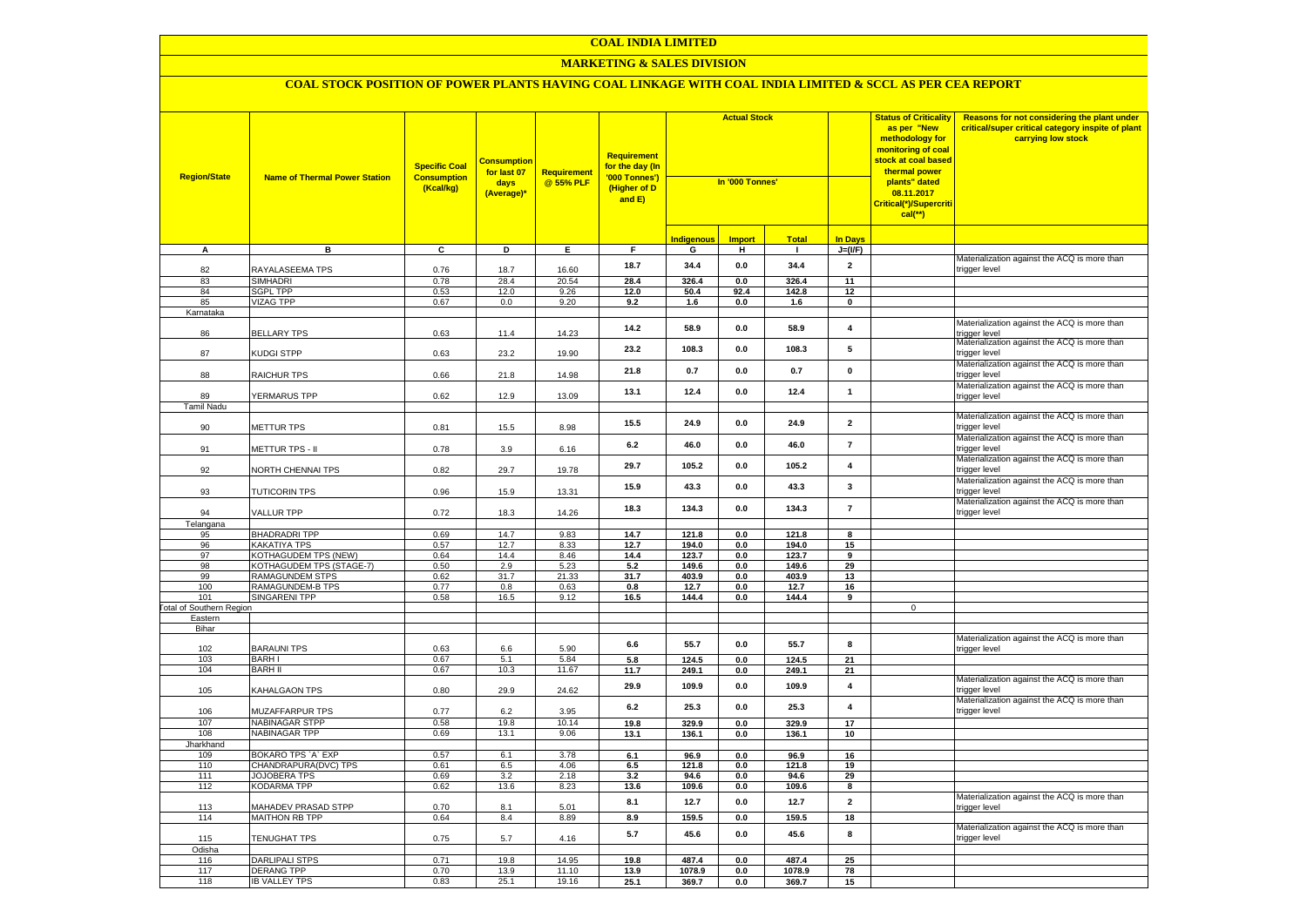#### **MARKETING & SALES DIVISION**

| <b>Region/State</b>                        | <b>Name of Thermal Power Station</b>          | <b>Specific Coal</b><br><b>Consumption</b><br>(Kcal/kg) | <b>Consumption</b><br>for last 07<br>days<br>(Average)* | <b>Requirement</b><br>@ 55% PLF | <b>Requirement</b><br>for the day (In<br>'000 Tonnes')<br>(Higher of D<br>and E) | <b>Actual Stock</b><br>In '000 Tonnes' |                |                |                         | <b>Status of Criticality</b><br>as per "New<br>methodology for<br>monitoring of coal<br><mark>stock at coal based</mark><br>thermal power<br>plants" dated<br>08.11.2017<br>Critical(*)/Supercriti<br>$cal$ (**) | Reasons for not considering the plant under<br>critical/super critical category inspite of plant<br>carrying low stock |
|--------------------------------------------|-----------------------------------------------|---------------------------------------------------------|---------------------------------------------------------|---------------------------------|----------------------------------------------------------------------------------|----------------------------------------|----------------|----------------|-------------------------|------------------------------------------------------------------------------------------------------------------------------------------------------------------------------------------------------------------|------------------------------------------------------------------------------------------------------------------------|
|                                            |                                               |                                                         |                                                         |                                 |                                                                                  | <b>Indigenous</b>                      | <b>Import</b>  | <b>Total</b>   | <b>In Days</b>          |                                                                                                                                                                                                                  |                                                                                                                        |
| A                                          | в                                             | C                                                       | D                                                       | Е.                              | F.                                                                               | G                                      | н              | $\mathbf{I}$   | $J=(VF)$                |                                                                                                                                                                                                                  |                                                                                                                        |
| 82                                         | RAYALASEEMA TPS                               | 0.76                                                    | 18.7                                                    | 16.60                           | 18.7                                                                             | 34.4                                   | 0.0            | 34.4           | $\overline{2}$          |                                                                                                                                                                                                                  | Materialization against the ACQ is more than<br>trigger level                                                          |
| 83                                         | <b>SIMHADRI</b>                               | 0.78                                                    | 28.4                                                    | 20.54                           | 28.4                                                                             | 326.4                                  | 0.0            | 326.4          | 11                      |                                                                                                                                                                                                                  |                                                                                                                        |
| 84                                         | <b>SGPL TPP</b>                               | 0.53                                                    | 12.0                                                    | 9.26                            | 12.0                                                                             | 50.4                                   | 92.4           | 142.8          | 12                      |                                                                                                                                                                                                                  |                                                                                                                        |
| 85                                         | <b>VIZAG TPP</b>                              | 0.67                                                    | 0.0                                                     | 9.20                            | 9.2                                                                              | 1.6                                    | 0.0            | 1.6            | $\pmb{0}$               |                                                                                                                                                                                                                  |                                                                                                                        |
| Karnataka<br>86                            | <b>BELLARY TPS</b>                            | 0.63                                                    | 11.4                                                    | 14.23                           | 14.2                                                                             | 58.9                                   | 0.0            | 58.9           | $\overline{4}$          |                                                                                                                                                                                                                  | Materialization against the ACQ is more than<br>trigger level                                                          |
| 87                                         | KUDGI STPP                                    | 0.63                                                    | 23.2                                                    | 19.90                           | 23.2                                                                             | 108.3                                  | 0.0            | 108.3          | 5                       |                                                                                                                                                                                                                  | Materialization against the ACQ is more than<br>trigger level                                                          |
| 88                                         | RAICHUR TPS                                   | 0.66                                                    | 21.8                                                    | 14.98                           | 21.8                                                                             | 0.7                                    | 0.0            | 0.7            | $\pmb{0}$               |                                                                                                                                                                                                                  | Materialization against the ACQ is more than<br>trigger level                                                          |
| 89                                         | YERMARUS TPP                                  | 0.62                                                    | 12.9                                                    | 13.09                           | 13.1                                                                             | 12.4                                   | 0.0            | 12.4           | $\mathbf{1}$            |                                                                                                                                                                                                                  | Materialization against the ACQ is more than<br>trigger level                                                          |
| <b>Tamil Nadu</b><br>90                    | METTUR TPS                                    | 0.81                                                    | 15.5                                                    | 8.98                            | 15.5                                                                             | 24.9                                   | $0.0\,$        | 24.9           | $\overline{2}$          |                                                                                                                                                                                                                  | Materialization against the ACQ is more than<br>rigger level                                                           |
| 91                                         | METTUR TPS - II                               | 0.78                                                    | 3.9                                                     | 6.16                            | 6.2                                                                              | 46.0                                   | 0.0            | 46.0           | $\overline{7}$          |                                                                                                                                                                                                                  | Materialization against the ACQ is more than<br>rigger level                                                           |
| 92                                         | NORTH CHENNAI TPS                             | 0.82                                                    | 29.7                                                    | 19.78                           | 29.7                                                                             | 105.2                                  | 0.0            | 105.2          | $\overline{\mathbf{4}}$ |                                                                                                                                                                                                                  | Materialization against the ACQ is more than<br>rigger level                                                           |
| 93                                         | <b>TUTICORIN TPS</b>                          | 0.96                                                    | 15.9                                                    | 13.31                           | 15.9                                                                             | 43.3                                   | 0.0            | 43.3           | $\mathbf{3}$            |                                                                                                                                                                                                                  | Materialization against the ACQ is more than<br>rigger level                                                           |
| 94                                         | VALLUR TPP                                    | 0.72                                                    | 18.3                                                    | 14.26                           | 18.3                                                                             | 134.3                                  | 0.0            | 134.3          | $\overline{7}$          |                                                                                                                                                                                                                  | Materialization against the ACQ is more than<br>rigger level                                                           |
| Telangana                                  |                                               |                                                         |                                                         |                                 |                                                                                  |                                        |                |                |                         |                                                                                                                                                                                                                  |                                                                                                                        |
| 95<br>96                                   | <b>BHADRADRI TPP</b><br><b>KAKATIYA TPS</b>   | 0.69<br>0.57                                            | 14.7<br>12.7                                            | 9.83<br>8.33                    | 14.7<br>12.7                                                                     | 121.8<br>194.0                         | 0.0<br>0.0     | 121.8<br>194.0 | 8<br>15                 |                                                                                                                                                                                                                  |                                                                                                                        |
| 97                                         | <b>KOTHAGUDEM TPS (NEW)</b>                   | 0.64                                                    | 14.4                                                    | 8.46                            | 14.4                                                                             | 123.7                                  | 0.0            | 123.7          | 9                       |                                                                                                                                                                                                                  |                                                                                                                        |
| 98                                         | KOTHAGUDEM TPS (STAGE-7)                      | 0.50                                                    | 2.9                                                     | 5.23                            | 5.2                                                                              | 149.6                                  | 0.0            | 149.6          | 29                      |                                                                                                                                                                                                                  |                                                                                                                        |
| 99                                         | RAMAGUNDEM STPS                               | 0.62                                                    | 31.7                                                    | 21.33                           | 31.7                                                                             | 403.9                                  | $0.0\,$        | 403.9          | 13                      |                                                                                                                                                                                                                  |                                                                                                                        |
| 100                                        | RAMAGUNDEM-B TPS                              | 0.77                                                    | 0.8                                                     | 0.63                            | 0.8                                                                              | 12.7                                   | $0.0\,$        | 12.7           | 16                      |                                                                                                                                                                                                                  |                                                                                                                        |
| 101                                        | <b>SINGARENI TPP</b>                          | 0.58                                                    | 16.5                                                    | 9.12                            | 16.5                                                                             | 144.4                                  | 0.0            | 144.4          | 9                       |                                                                                                                                                                                                                  |                                                                                                                        |
| <b>Total of Southern Region</b><br>Eastern |                                               |                                                         |                                                         |                                 |                                                                                  |                                        |                |                |                         | $\mathsf 0$                                                                                                                                                                                                      |                                                                                                                        |
| Bihar                                      |                                               |                                                         |                                                         |                                 |                                                                                  |                                        |                |                |                         |                                                                                                                                                                                                                  |                                                                                                                        |
| 102                                        | <b>BARAUNI TPS</b>                            | 0.63                                                    | 6.6                                                     | 5.90                            | 6.6                                                                              | 55.7                                   | 0.0            | 55.7           | 8                       |                                                                                                                                                                                                                  | Materialization against the ACQ is more than<br>rigger level                                                           |
| 103                                        | <b>BARH I</b>                                 | 0.67                                                    | 5.1                                                     | 5.84                            | 5.8                                                                              | 124.5                                  | 0.0            | 124.5          | 21                      |                                                                                                                                                                                                                  |                                                                                                                        |
| 104                                        | <b>BARH II</b>                                | 0.67                                                    | 10.3                                                    | 11.67                           | 11.7                                                                             | 249.1                                  | 0.0            | 249.1          | 21                      |                                                                                                                                                                                                                  |                                                                                                                        |
| 105                                        | KAHALGAON TPS                                 | 0.80                                                    | 29.9                                                    | 24.62                           | 29.9                                                                             | 109.9                                  | 0.0            | 109.9          | $\overline{\mathbf{4}}$ |                                                                                                                                                                                                                  | Materialization against the ACQ is more than<br>rigger level                                                           |
| 106                                        | <b>MUZAFFARPUR TPS</b>                        | 0.77                                                    | 6.2                                                     | 3.95                            | 6.2                                                                              | 25.3                                   | 0.0            | 25.3           | $\overline{\mathbf{4}}$ |                                                                                                                                                                                                                  | Materialization against the ACQ is more than<br>rigger level                                                           |
| 107                                        | <b>NABINAGAR STPP</b><br><b>NABINAGAR TPP</b> | 0.58                                                    | 19.8                                                    | 10.14                           | 19.8                                                                             | 329.9                                  | 0.0            | 329.9          | 17                      |                                                                                                                                                                                                                  |                                                                                                                        |
| 108<br>Jharkhand                           |                                               | 0.69                                                    | 13.1                                                    | 9.06                            | 13.1                                                                             | 136.1                                  | 0.0            | 136.1          | 10                      |                                                                                                                                                                                                                  |                                                                                                                        |
| 109                                        | BOKARO TPS `A` EXP                            | 0.57                                                    | 6.1                                                     | 3.78                            | 6.1                                                                              | 96.9                                   | 0.0            | 96.9           | 16                      |                                                                                                                                                                                                                  |                                                                                                                        |
| 110                                        | CHANDRAPURA(DVC) TPS                          | 0.61                                                    | 6.5                                                     | 4.06                            | 6.5                                                                              | 121.8                                  | 0.0            | 121.8          | 19                      |                                                                                                                                                                                                                  |                                                                                                                        |
| 111                                        | <b>JOJOBERA TPS</b>                           | 0.69                                                    | 3.2                                                     | 2.18                            | 3.2                                                                              | 94.6                                   | 0.0            | 94.6           | 29                      |                                                                                                                                                                                                                  |                                                                                                                        |
| 112                                        | <b>KODARMA TPP</b>                            | 0.62                                                    | 13.6                                                    | 8.23                            | 13.6                                                                             | 109.6                                  | 0.0            | 109.6          | 8                       |                                                                                                                                                                                                                  |                                                                                                                        |
| 113<br>114                                 | MAHADEV PRASAD STPP<br><b>MAITHON RB TPP</b>  | 0.70<br>0.64                                            | 8.1<br>8.4                                              | 5.01<br>8.89                    | 8.1<br>8.9                                                                       | 12.7<br>159.5                          | $0.0\,$<br>0.0 | 12.7<br>159.5  | $\overline{2}$<br>18    |                                                                                                                                                                                                                  | Materialization against the ACQ is more than<br>rigger level                                                           |
|                                            |                                               |                                                         |                                                         |                                 |                                                                                  |                                        |                |                |                         |                                                                                                                                                                                                                  | Materialization against the ACQ is more than                                                                           |
| 115<br>Odisha                              | <b>TENUGHAT TPS</b>                           | 0.75                                                    | 5.7                                                     | 4.16                            | $5.7\,$                                                                          | 45.6                                   | $0.0\,$        | 45.6           | 8                       |                                                                                                                                                                                                                  | rigger level                                                                                                           |
| 116                                        | <b>DARLIPALI STPS</b>                         | 0.71                                                    | 19.8                                                    | 14.95                           | 19.8                                                                             | 487.4                                  | 0.0            | 487.4          | 25                      |                                                                                                                                                                                                                  |                                                                                                                        |
| 117                                        | <b>DERANG TPP</b>                             | 0.70                                                    | 13.9                                                    | 11.10                           | 13.9                                                                             | 1078.9                                 | 0.0            | 1078.9         | 78                      |                                                                                                                                                                                                                  |                                                                                                                        |
| 118                                        | <b>IB VALLEY TPS</b>                          | 0.83                                                    | 25.1                                                    | 19.16                           | 25.1                                                                             | 369.7                                  | 0.0            | 369.7          | 15                      |                                                                                                                                                                                                                  |                                                                                                                        |